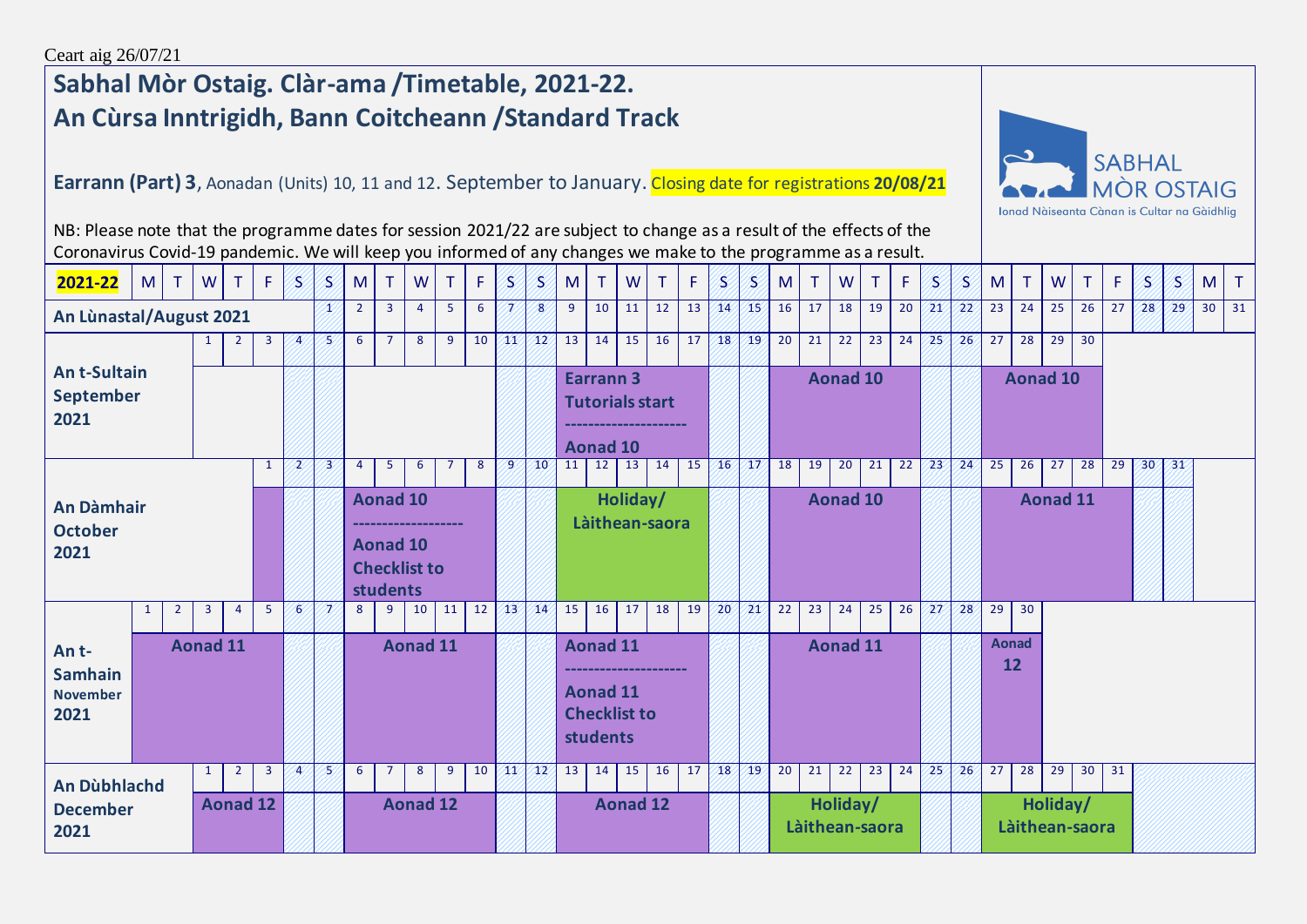## **Sabhal Mòr Ostaig. Clàr-ama /Timetable, 2021-22. An Cùrsa Inntrigidh, Bann Coitcheann /Standard Track**

## **Earrann (Part) 3**, Aonadan (Units) 10, 11 and 12. September to January. Closing date for registrations **20/08/21**



NB: Please note that the programme dates for session 2021/22 are subject to change as a result of the effects of the Coronavirus Covid-19 pandemic. We will keep you informed of any changes we make to the programme as a result.

| 2021-22                                            | M               | $\top$         | W            | $\top$         | -F.                     | B.                       | B.  | M              | $\top$                                                | W                   | T              | -F | S               | S                                                             | M  | $\top$                                                                | W        | T              | F  | 18.             | S               | M  | $\top$          | W               | T. | F.                | S                          | 8.              | M                  | T. | W               | $\top$          | F.              | S                          | $\mathcal{S}$ | $\mathsf{M}$ | $\top$ |  |  |  |
|----------------------------------------------------|-----------------|----------------|--------------|----------------|-------------------------|--------------------------|-----|----------------|-------------------------------------------------------|---------------------|----------------|----|-----------------|---------------------------------------------------------------|----|-----------------------------------------------------------------------|----------|----------------|----|-----------------|-----------------|----|-----------------|-----------------|----|-------------------|----------------------------|-----------------|--------------------|----|-----------------|-----------------|-----------------|----------------------------|---------------|--------------|--------|--|--|--|
| An Lùnastal/August 2021                            |                 |                |              |                |                         |                          | Æ.  | $\overline{2}$ | 3 <sup>7</sup>                                        | $\overline{4}$      | 5              | 6  |                 | 8                                                             | 9  | 10                                                                    | 11       | 12             | 13 | 14              | 15              | 16 | 17              | 18              | 19 | 20                | $\sqrt{21}$                | 22              | 23                 | 24 | 25              | 26              | 27              | $\sqrt{28}$                | 29            | $30 \mid 31$ |        |  |  |  |
| $\mathbf{1}$                                       |                 |                |              |                | 3                       | $\overline{\mathcal{A}}$ | 18. | 6              | $7^{\circ}$                                           | 8 <sup>°</sup>      | 9              | 10 | 'N              | 12                                                            | 13 | 14                                                                    | 15       | 16             | 17 | 18              | 19              | 20 | $\overline{21}$ | 22              | 23 | 24                | 25                         | 26              | 27                 | 28 | 29              | 30              |                 |                            |               |              |        |  |  |  |
| <b>An t-Sultain</b><br>September<br>2021           |                 |                |              |                |                         |                          |     |                |                                                       |                     |                |    |                 | <b>Earrann 3</b><br><b>Tutorials start</b><br><b>Aonad 10</b> |    |                                                                       |          |                |    |                 | <b>Aonad 10</b> |    |                 |                 |    |                   | <b>Aonad 10</b>            |                 |                    |    |                 |                 |                 |                            |               |              |        |  |  |  |
|                                                    |                 |                |              |                | $\mathbf{1}$            | $\mathbf{Z}$             | З   | $\overline{4}$ | 5                                                     | 6                   | $\overline{7}$ | 8  | $\overline{9}$  | 10                                                            | 11 | 12                                                                    | 13       | 14             | 15 | 46              | /17             | 18 | 19              | 20              |    | $21 \mid 22 \mid$ | $\sqrt{23}$                | 24              | 25                 | 26 | 27              | $\overline{28}$ | $\overline{29}$ | 30 <sup>7</sup>            | 31            |              |        |  |  |  |
| <b>An Dàmhair</b><br><b>October</b><br>2021        |                 |                |              |                |                         |                          |     |                | <b>Aonad 10</b><br><b>Aonad 10</b><br><b>students</b> | <b>Checklist to</b> |                |    |                 |                                                               |    |                                                                       | Holiday/ | Làithean-saora |    |                 |                 |    |                 | <b>Aonad 10</b> |    |                   |                            |                 |                    |    | <b>Aonad 11</b> |                 |                 |                            |               |              |        |  |  |  |
|                                                    | $\mathbf{1}$    | $\overline{2}$ | $\mathbf{3}$ | $\overline{4}$ | 5                       | 6                        | N   | 8              | $9^{\circ}$                                           | 10 <sup>1</sup>     | 11             | 12 | $\sqrt{13}$     | 14                                                            | 15 | 16                                                                    | 17       | 18             | 19 | 20              | $\sqrt{21}$     | 22 | 23              | 24              | 25 | 26                | 27                         | 28              | 29                 | 30 |                 |                 |                 |                            |               |              |        |  |  |  |
| An t-<br><b>Samhain</b><br><b>November</b><br>2021 | <b>Aonad 11</b> |                |              |                |                         |                          |     |                |                                                       | <b>Aonad 11</b>     |                |    |                 |                                                               |    | <b>Aonad 11</b><br><b>Aonad 11</b><br><b>Checklist to</b><br>students |          |                |    |                 |                 |    |                 | <b>Aonad 11</b> |    |                   |                            |                 | <b>Aonad</b><br>12 |    |                 |                 |                 |                            |               |              |        |  |  |  |
| An Dùbhlachd                                       |                 |                | $\mathbf{1}$ | $\overline{2}$ | $\overline{\mathbf{3}}$ | $\overline{A}$           | 5   | 6              | 7                                                     | $8^{\circ}$         | 9              | 10 | M               | 42 <sub>4</sub>                                               | 13 | 14                                                                    | 15       | 16             | 17 | 18              | 49              | 20 | 21              | 22              | 23 | 24                | 25                         | 26 <sup>2</sup> | 27                 | 28 | 29              | 30 <sup>°</sup> | 31              |                            |               |              |        |  |  |  |
| <b>December</b><br>2021                            |                 |                |              |                | <b>Aonad 12</b>         |                          |     |                |                                                       |                     |                |    | <b>Aonad 12</b> |                                                               |    |                                                                       |          |                |    | <b>Aonad 12</b> |                 |    |                 |                 |    |                   | Holiday/<br>Làithean-saora |                 |                    |    |                 |                 |                 | Holiday/<br>Làithean-saora |               |              |        |  |  |  |